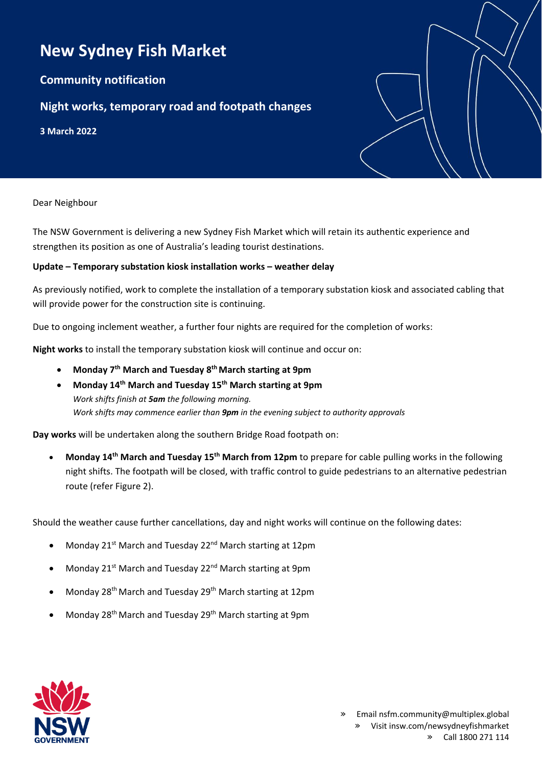## **New Sydney Fish Market**

**Community notification**

## **Night works, temporary road and footpath changes**

**3 March 2022**

Dear Neighbour

The NSW Government is delivering a new Sydney Fish Market which will retain its authentic experience and strengthen its position as one of Australia's leading tourist destinations.

## **Update – Temporary substation kiosk installation works – weather delay**

As previously notified, work to complete the installation of a temporary substation kiosk and associated cabling that will provide power for the construction site is continuing.

Due to ongoing inclement weather, a further four nights are required for the completion of works:

**Night works** to install the temporary substation kiosk will continue and occur on:

- **Monday 7th March and Tuesday 8th March starting at 9pm**
- **Monday 14th March and Tuesday 15th March starting at 9pm** *Work shifts finish at 5am the following morning. Work shifts may commence earlier than 9pm in the evening subject to authority approvals*

**Day works** will be undertaken along the southern Bridge Road footpath on:

• **Monday 14th March and Tuesday 15th March from 12pm** to prepare for cable pulling works in the following night shifts. The footpath will be closed, with traffic control to guide pedestrians to an alternative pedestrian route (refer Figure 2).

Should the weather cause further cancellations, day and night works will continue on the following dates:

- Monday 21<sup>st</sup> March and Tuesday 22<sup>nd</sup> March starting at 12pm
- Monday 21<sup>st</sup> March and Tuesday 22<sup>nd</sup> March starting at 9pm
- Monday 28<sup>th</sup> March and Tuesday 29<sup>th</sup> March starting at 12pm
- Monday 28th March and Tuesday 29th March starting at 9pm

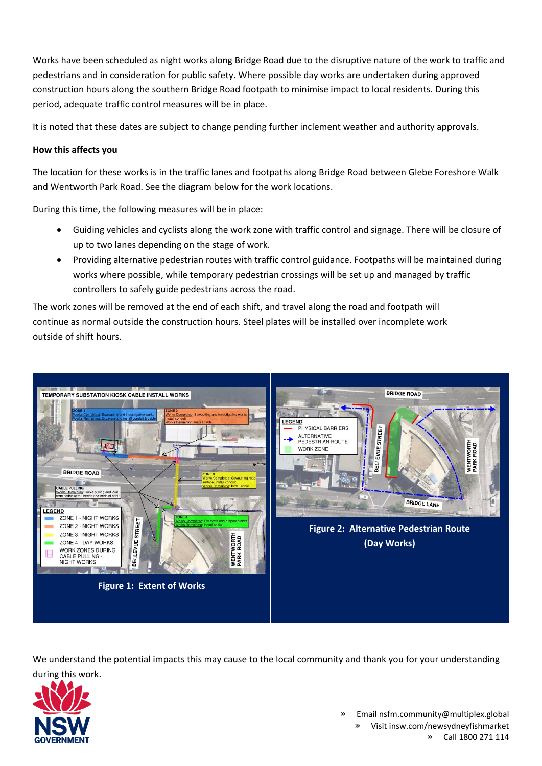Works have been scheduled as night works along Bridge Road due to the disruptive nature of the work to traffic and pedestrians and in consideration for public safety. Where possible day works are undertaken during approved construction hours along the southern Bridge Road footpath to minimise impact to local residents. During this period, adequate traffic control measures will be in place.

It is noted that these dates are subject to change pending further inclement weather and authority approvals.

## **How this affects you**

The location for these works is in the traffic lanes and footpaths along Bridge Road between Glebe Foreshore Walk and Wentworth Park Road. See the diagram below for the work locations.

During this time, the following measures will be in place:

- Guiding vehicles and cyclists along the work zone with traffic control and signage. There will be closure of up to two lanes depending on the stage of work.
- Providing alternative pedestrian routes with traffic control guidance. Footpaths will be maintained during works where possible, while temporary pedestrian crossings will be set up and managed by traffic controllers to safely guide pedestrians across the road.

The work zones will be removed at the end of each shift, and travel along the road and footpath will continue as normal outside the construction hours. Steel plates will be installed over incomplete work outside of shift hours.



We understand the potential impacts this may cause to the local community and thank you for your understanding during this work.



» Email nsfm.community@multiplex.global » Visit insw.com/newsydneyfishmarket » Call 1800 271 114